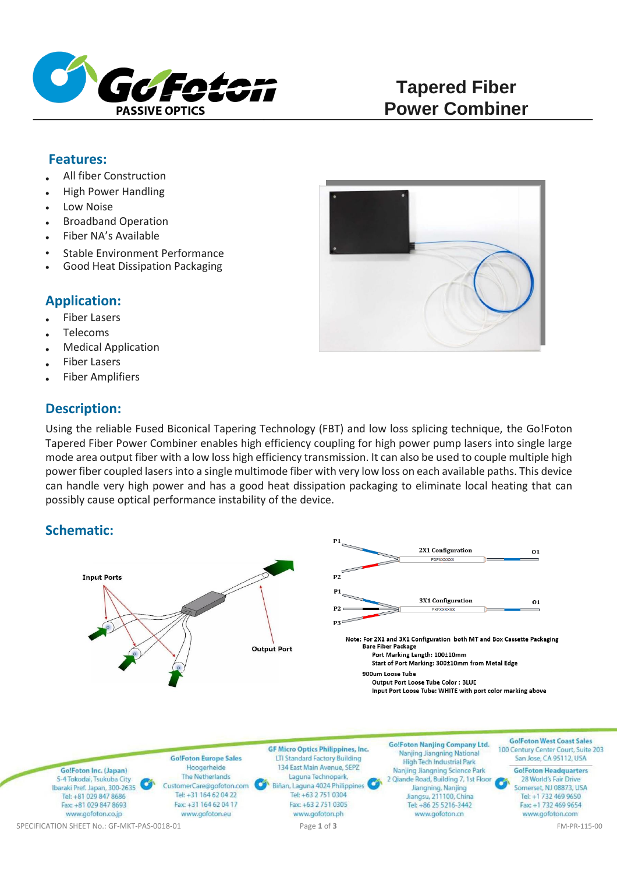

# **Tapered Fiber Power Combiner**

#### **Features:**

- All fiber Construction
- High Power Handling
- Low Noise
- Broadband Operation
- Fiber NA's Available
- Stable Environment Performance
- Good Heat Dissipation Packaging

## **Application:**

- Fiber Lasers
- Telecoms
- Medical Application
- Fiber Lasers
- Fiber Amplifiers

### **Description:**

Using the reliable Fused Biconical Tapering Technology (FBT) and low loss splicing technique, the Go!Foton Tapered Fiber Power Combiner enables high efficiency coupling for high power pump lasers into single large mode area output fiber with a low loss high efficiency transmission. It can also be used to couple multiple high power fiber coupled lasers into a single multimode fiber with very low loss on each available paths. This device can handle very high power and has a good heat dissipation packaging to eliminate local heating that can possibly cause optical performance instability of the device.

# **Schematic:**



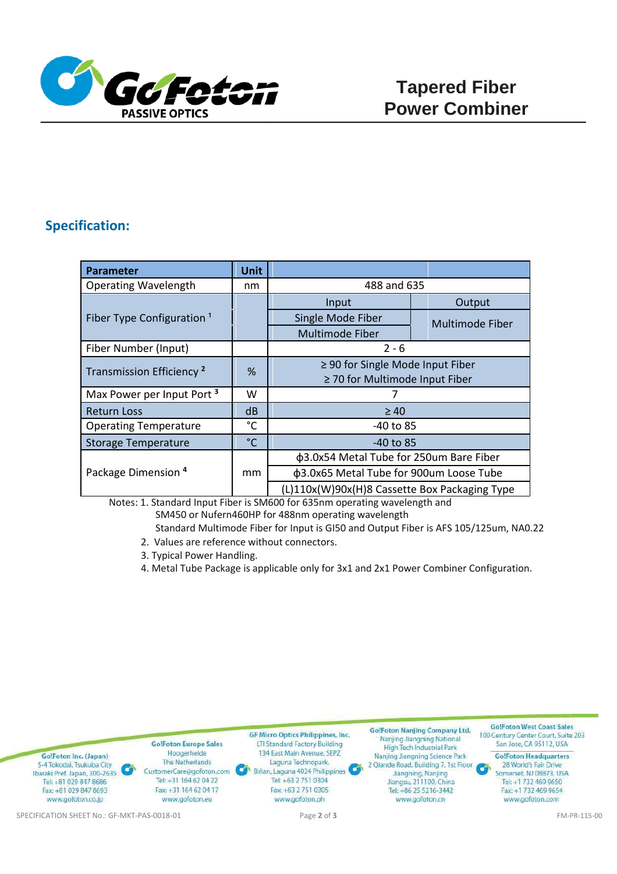

### **Specification:**

| <b>Parameter</b>                      | <b>Unit</b>  |                                               |  |                 |
|---------------------------------------|--------------|-----------------------------------------------|--|-----------------|
| <b>Operating Wavelength</b>           | nm           | 488 and 635                                   |  |                 |
| Fiber Type Configuration <sup>1</sup> |              | Input                                         |  | Output          |
|                                       |              | Single Mode Fiber                             |  | Multimode Fiber |
|                                       |              | Multimode Fiber                               |  |                 |
| Fiber Number (Input)                  |              | $2 - 6$                                       |  |                 |
| Transmission Efficiency <sup>2</sup>  | %            | $\geq$ 90 for Single Mode Input Fiber         |  |                 |
|                                       |              | $\geq$ 70 for Multimode Input Fiber           |  |                 |
| Max Power per Input Port <sup>3</sup> | W            | 7                                             |  |                 |
| <b>Return Loss</b>                    | dB           | $\geq 40$                                     |  |                 |
| <b>Operating Temperature</b>          | °C           | -40 to 85                                     |  |                 |
| <b>Storage Temperature</b>            | $^{\circ}$ C | $-40$ to 85                                   |  |                 |
| Package Dimension <sup>4</sup>        | mm           | φ3.0x54 Metal Tube for 250um Bare Fiber       |  |                 |
|                                       |              | φ3.0x65 Metal Tube for 900um Loose Tube       |  |                 |
|                                       |              | (L)110x(W)90x(H)8 Cassette Box Packaging Type |  |                 |

Notes: 1. Standard Input Fiber is SM600 for 635nm operating wavelength and

- SM450 or Nufern460HP for 488nm operating wavelength
- Standard Multimode Fiber for Input is GI50 and Output Fiber is AFS 105/125um, NA0.22
- 2. Values are reference without connectors.
- 3. Typical Power Handling.
- 4. Metal Tube Package is applicable only for 3x1 and 2x1 Power Combiner Configuration.